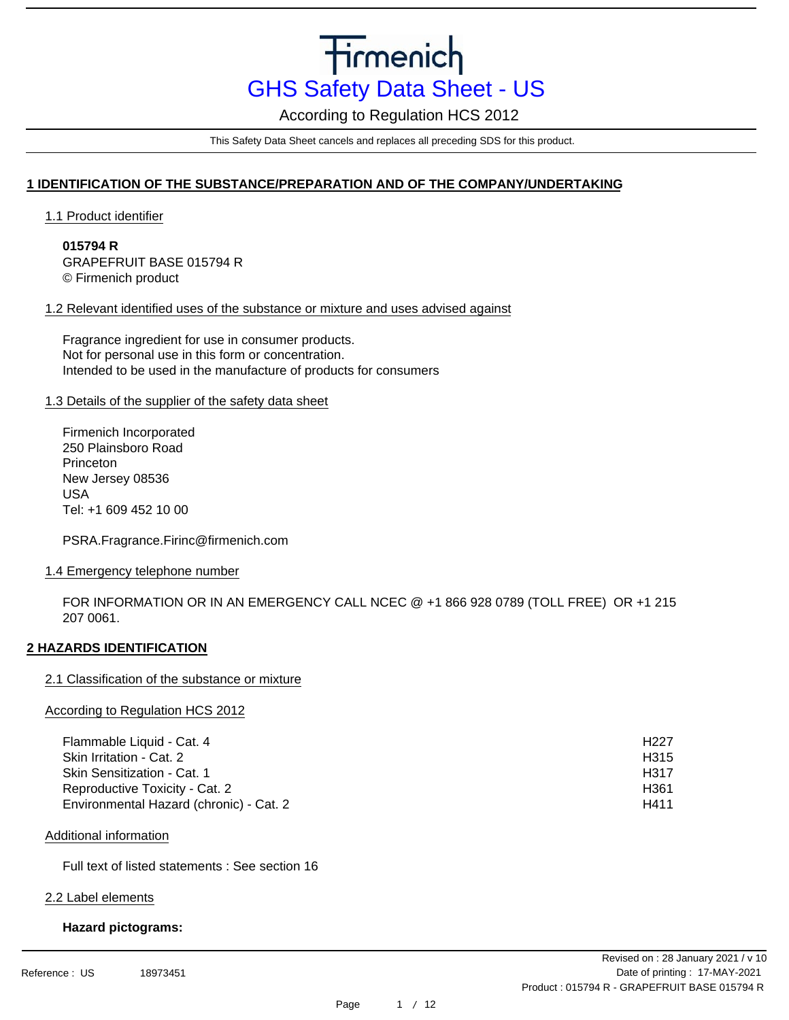According to Regulation HCS 2012

This Safety Data Sheet cancels and replaces all preceding SDS for this product.

# **1 IDENTIFICATION OF THE SUBSTANCE/PREPARATION AND OF THE COMPANY/UNDERTAKING**

1.1 Product identifier

**015794 R** GRAPEFRUIT BASE 015794 R © Firmenich product

### 1.2 Relevant identified uses of the substance or mixture and uses advised against

Fragrance ingredient for use in consumer products. Not for personal use in this form or concentration. Intended to be used in the manufacture of products for consumers

### 1.3 Details of the supplier of the safety data sheet

Firmenich Incorporated 250 Plainsboro Road Princeton New Jersey 08536 USA Tel: +1 609 452 10 00

PSRA.Fragrance.Firinc@firmenich.com

### 1.4 Emergency telephone number

FOR INFORMATION OR IN AN EMERGENCY CALL NCEC @ +1 866 928 0789 (TOLL FREE) OR +1 215 207 0061.

# **2 HAZARDS IDENTIFICATION**

### 2.1 Classification of the substance or mixture

### According to Regulation HCS 2012

| Flammable Liquid - Cat. 4               | H <sub>22</sub> 7 |
|-----------------------------------------|-------------------|
| Skin Irritation - Cat. 2                | H <sub>315</sub>  |
| Skin Sensitization - Cat. 1             | H317              |
| Reproductive Toxicity - Cat. 2          | H361              |
| Environmental Hazard (chronic) - Cat. 2 | H411              |

### Additional information

Full text of listed statements : See section 16

### 2.2 Label elements

### **Hazard pictograms:**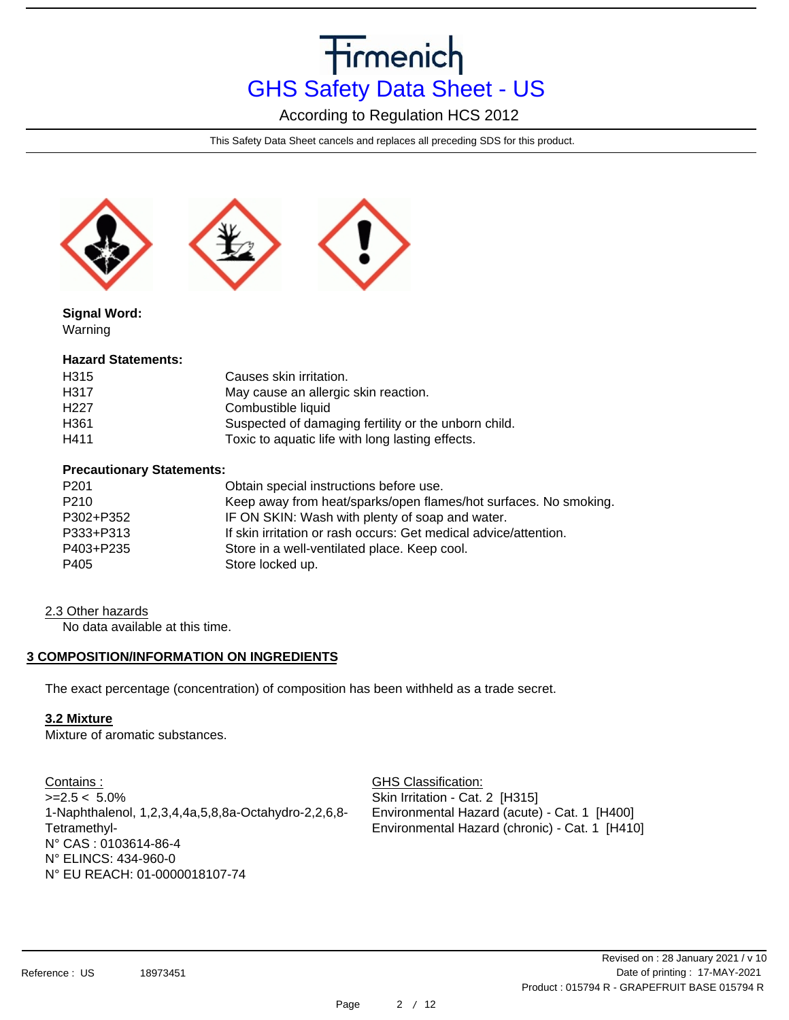According to Regulation HCS 2012

This Safety Data Sheet cancels and replaces all preceding SDS for this product.



**Signal Word:** Warning

### **Hazard Statements:**

| H315              | Causes skin irritation.                              |
|-------------------|------------------------------------------------------|
| H317              | May cause an allergic skin reaction.                 |
| H <sub>22</sub> 7 | Combustible liquid                                   |
| H <sub>361</sub>  | Suspected of damaging fertility or the unborn child. |
| H411              | Toxic to aquatic life with long lasting effects.     |

### **Precautionary Statements:**

| P <sub>201</sub> | Obtain special instructions before use.                          |
|------------------|------------------------------------------------------------------|
| P <sub>210</sub> | Keep away from heat/sparks/open flames/hot surfaces. No smoking. |
| P302+P352        | IF ON SKIN: Wash with plenty of soap and water.                  |
| P333+P313        | If skin irritation or rash occurs: Get medical advice/attention. |
| P403+P235        | Store in a well-ventilated place. Keep cool.                     |
| P405             | Store locked up.                                                 |

### 2.3 Other hazards

No data available at this time.

# **3 COMPOSITION/INFORMATION ON INGREDIENTS**

The exact percentage (concentration) of composition has been withheld as a trade secret.

# **3.2 Mixture**

Mixture of aromatic substances.

Contains :  $>=2.5 < 5.0\%$ 1-Naphthalenol, 1,2,3,4,4a,5,8,8a-Octahydro-2,2,6,8- Tetramethyl-N° CAS : 0103614-86-4 N° ELINCS: 434-960-0 N° EU REACH: 01-0000018107-74

GHS Classification: Skin Irritation - Cat. 2 [H315] Environmental Hazard (acute) - Cat. 1 [H400] Environmental Hazard (chronic) - Cat. 1 [H410]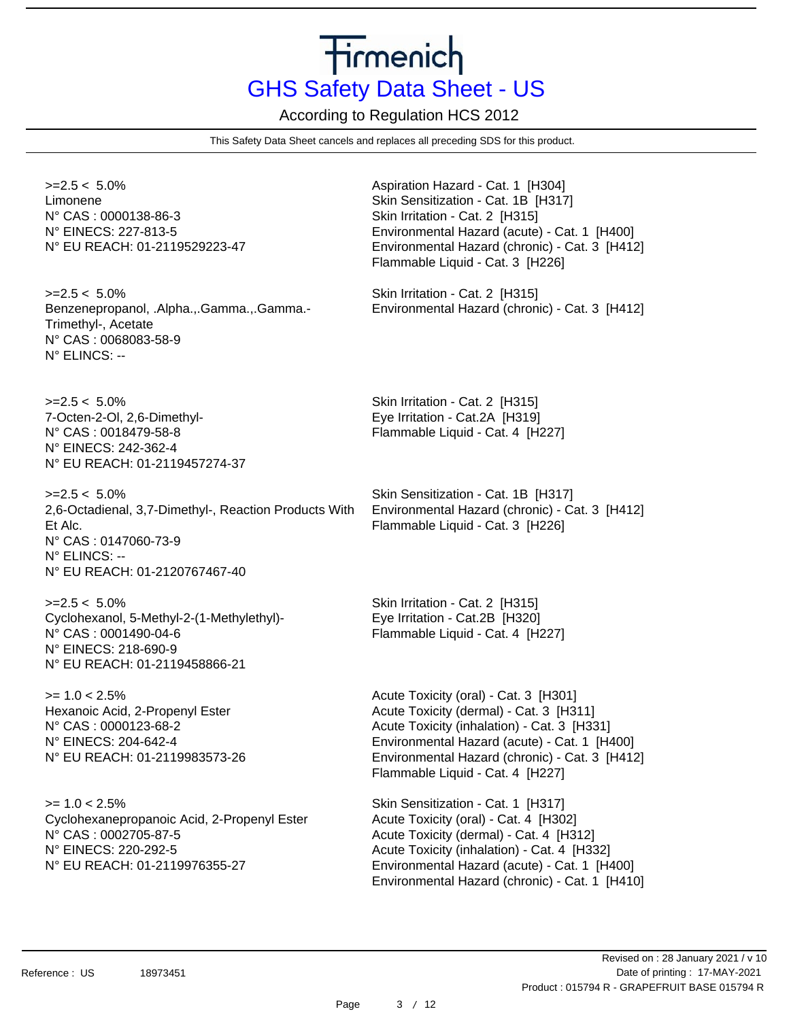According to Regulation HCS 2012

This Safety Data Sheet cancels and replaces all preceding SDS for this product.

 $>=2.5 < 5.0\%$ Limonene N° CAS : 0000138-86-3 N° EINECS: 227-813-5 N° EU REACH: 01-2119529223-47

 $>=2.5 < 5.0\%$ Benzenepropanol, .Alpha.,.Gamma.,.Gamma.- Trimethyl-, Acetate N° CAS : 0068083-58-9 N° ELINCS: --

 $>=2.5 < 5.0\%$ 7-Octen-2-Ol, 2,6-Dimethyl-N° CAS : 0018479-58-8 N° EINECS: 242-362-4 N° EU REACH: 01-2119457274-37

 $>=2.5 < 5.0\%$ 2,6-Octadienal, 3,7-Dimethyl-, Reaction Products With Et Alc. N° CAS : 0147060-73-9 N° ELINCS: -- N° EU REACH: 01-2120767467-40

 $>=2.5 < 5.0\%$ Cyclohexanol, 5-Methyl-2-(1-Methylethyl)- N° CAS : 0001490-04-6 N° EINECS: 218-690-9 N° EU REACH: 01-2119458866-21

 $>= 1.0 < 2.5\%$ Hexanoic Acid, 2-Propenyl Ester N° CAS : 0000123-68-2 N° EINECS: 204-642-4 N° EU REACH: 01-2119983573-26

 $>= 1.0 < 2.5\%$ Cyclohexanepropanoic Acid, 2-Propenyl Ester N° CAS : 0002705-87-5 N° EINECS: 220-292-5 N° EU REACH: 01-2119976355-27

Aspiration Hazard - Cat. 1 [H304] Skin Sensitization - Cat. 1B [H317] Skin Irritation - Cat. 2 [H315] Environmental Hazard (acute) - Cat. 1 [H400] Environmental Hazard (chronic) - Cat. 3 [H412] Flammable Liquid - Cat. 3 [H226]

Skin Irritation - Cat. 2 [H315] Environmental Hazard (chronic) - Cat. 3 [H412]

Skin Irritation - Cat. 2 [H315] Eye Irritation - Cat.2A [H319] Flammable Liquid - Cat. 4 [H227]

Skin Sensitization - Cat. 1B [H317] Environmental Hazard (chronic) - Cat. 3 [H412] Flammable Liquid - Cat. 3 [H226]

Skin Irritation - Cat. 2 [H315] Eye Irritation - Cat.2B [H320] Flammable Liquid - Cat. 4 [H227]

Acute Toxicity (oral) - Cat. 3 [H301] Acute Toxicity (dermal) - Cat. 3 [H311] Acute Toxicity (inhalation) - Cat. 3 [H331] Environmental Hazard (acute) - Cat. 1 [H400] Environmental Hazard (chronic) - Cat. 3 [H412] Flammable Liquid - Cat. 4 [H227]

Skin Sensitization - Cat. 1 [H317] Acute Toxicity (oral) - Cat. 4 [H302] Acute Toxicity (dermal) - Cat. 4 [H312] Acute Toxicity (inhalation) - Cat. 4 [H332] Environmental Hazard (acute) - Cat. 1 [H400] Environmental Hazard (chronic) - Cat. 1 [H410]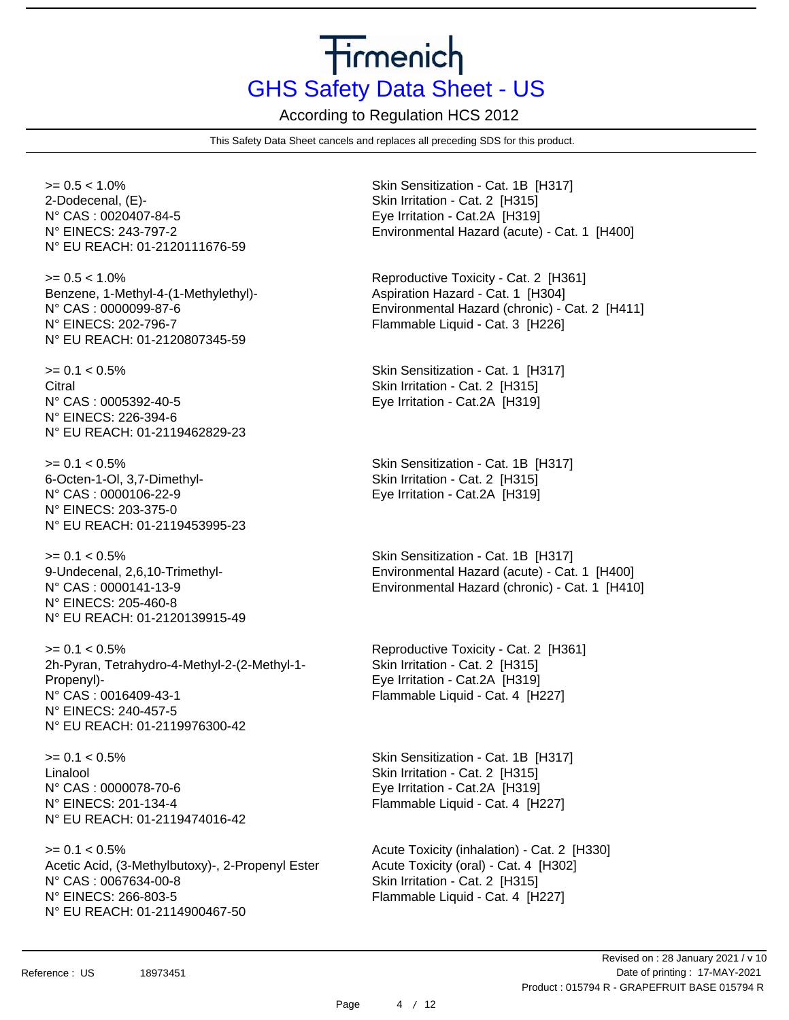According to Regulation HCS 2012

This Safety Data Sheet cancels and replaces all preceding SDS for this product.

 $>= 0.5 < 1.0\%$ 2-Dodecenal, (E)- N° CAS : 0020407-84-5 N° EINECS: 243-797-2 N° EU REACH: 01-2120111676-59

 $>= 0.5 < 1.0\%$ Benzene, 1-Methyl-4-(1-Methylethyl)- N° CAS : 0000099-87-6 N° EINECS: 202-796-7 N° EU REACH: 01-2120807345-59

 $>= 0.1 < 0.5\%$ Citral N° CAS : 0005392-40-5 N° EINECS: 226-394-6 N° EU REACH: 01-2119462829-23

 $>= 0.1 < 0.5\%$ 6-Octen-1-Ol, 3,7-Dimethyl-N° CAS : 0000106-22-9 N° EINECS: 203-375-0 N° EU REACH: 01-2119453995-23

 $>= 0.1 < 0.5\%$ 9-Undecenal, 2,6,10-Trimethyl-N° CAS : 0000141-13-9 N° EINECS: 205-460-8 N° EU REACH: 01-2120139915-49

 $>= 0.1 < 0.5\%$ 2h-Pyran, Tetrahydro-4-Methyl-2-(2-Methyl-1- Propenyl)- N° CAS : 0016409-43-1 N° EINECS: 240-457-5 N° EU REACH: 01-2119976300-42

 $>= 0.1 < 0.5\%$ Linalool N° CAS : 0000078-70-6 N° EINECS: 201-134-4 N° EU REACH: 01-2119474016-42

 $>= 0.1 < 0.5\%$ Acetic Acid, (3-Methylbutoxy)-, 2-Propenyl Ester N° CAS : 0067634-00-8 N° EINECS: 266-803-5 N° EU REACH: 01-2114900467-50

Skin Sensitization - Cat. 1B [H317] Skin Irritation - Cat. 2 [H315] Eye Irritation - Cat.2A [H319] Environmental Hazard (acute) - Cat. 1 [H400]

Reproductive Toxicity - Cat. 2 [H361] Aspiration Hazard - Cat. 1 [H304] Environmental Hazard (chronic) - Cat. 2 [H411] Flammable Liquid - Cat. 3 [H226]

Skin Sensitization - Cat. 1 [H317] Skin Irritation - Cat. 2 [H315] Eye Irritation - Cat.2A [H319]

Skin Sensitization - Cat. 1B [H317] Skin Irritation - Cat. 2 [H315] Eye Irritation - Cat.2A [H319]

Skin Sensitization - Cat. 1B [H317] Environmental Hazard (acute) - Cat. 1 [H400] Environmental Hazard (chronic) - Cat. 1 [H410]

Reproductive Toxicity - Cat. 2 [H361] Skin Irritation - Cat. 2 [H315] Eye Irritation - Cat.2A [H319] Flammable Liquid - Cat. 4 [H227]

Skin Sensitization - Cat. 1B [H317] Skin Irritation - Cat. 2 [H315] Eye Irritation - Cat.2A [H319] Flammable Liquid - Cat. 4 [H227]

Acute Toxicity (inhalation) - Cat. 2 [H330] Acute Toxicity (oral) - Cat. 4 [H302] Skin Irritation - Cat. 2 [H315] Flammable Liquid - Cat. 4 [H227]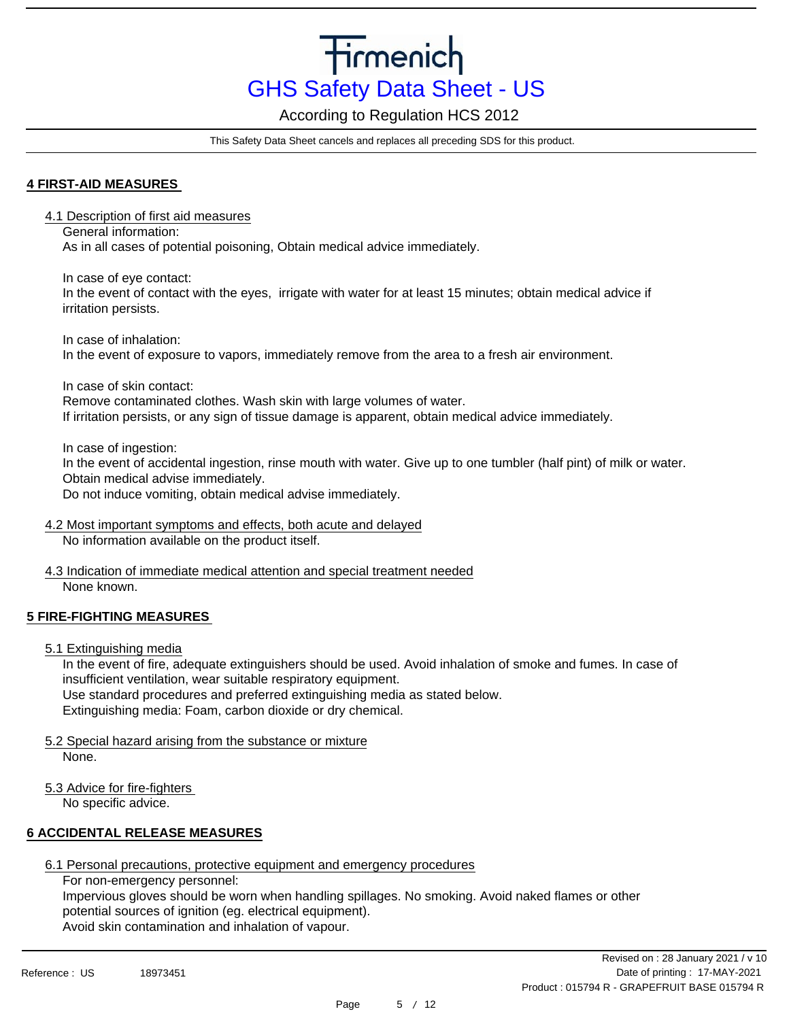According to Regulation HCS 2012

This Safety Data Sheet cancels and replaces all preceding SDS for this product.

### **4 FIRST-AID MEASURES**

4.1 Description of first aid measures

General information: As in all cases of potential poisoning, Obtain medical advice immediately.

In case of eye contact: In the event of contact with the eyes, irrigate with water for at least 15 minutes; obtain medical advice if irritation persists.

In case of inhalation: In the event of exposure to vapors, immediately remove from the area to a fresh air environment.

In case of skin contact:

Remove contaminated clothes. Wash skin with large volumes of water. If irritation persists, or any sign of tissue damage is apparent, obtain medical advice immediately.

In case of ingestion:

In the event of accidental ingestion, rinse mouth with water. Give up to one tumbler (half pint) of milk or water. Obtain medical advise immediately.

Do not induce vomiting, obtain medical advise immediately.

- 4.2 Most important symptoms and effects, both acute and delayed No information available on the product itself.
- 4.3 Indication of immediate medical attention and special treatment needed None known.

# **5 FIRE-FIGHTING MEASURES**

5.1 Extinguishing media

In the event of fire, adequate extinguishers should be used. Avoid inhalation of smoke and fumes. In case of insufficient ventilation, wear suitable respiratory equipment.

Use standard procedures and preferred extinguishing media as stated below.

Extinguishing media: Foam, carbon dioxide or dry chemical.

5.2 Special hazard arising from the substance or mixture

None.

5.3 Advice for fire-fighters

No specific advice.

# **6 ACCIDENTAL RELEASE MEASURES**

6.1 Personal precautions, protective equipment and emergency procedures

For non-emergency personnel:

Impervious gloves should be worn when handling spillages. No smoking. Avoid naked flames or other potential sources of ignition (eg. electrical equipment). Avoid skin contamination and inhalation of vapour.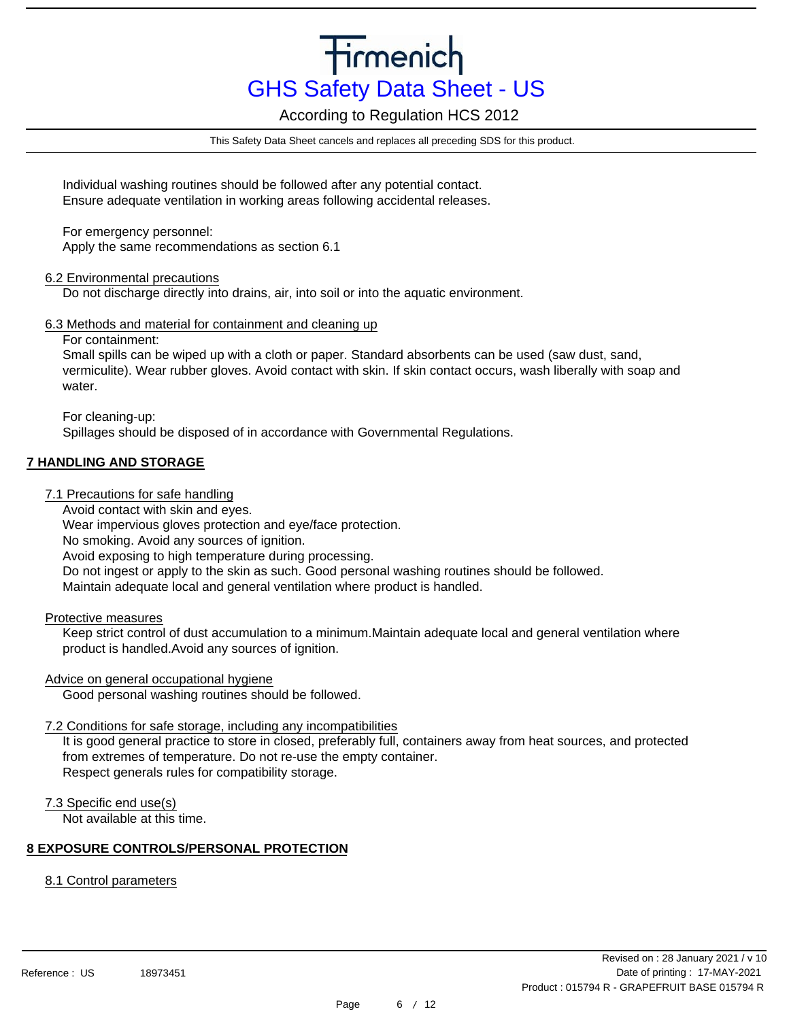According to Regulation HCS 2012

This Safety Data Sheet cancels and replaces all preceding SDS for this product.

Individual washing routines should be followed after any potential contact. Ensure adequate ventilation in working areas following accidental releases.

For emergency personnel: Apply the same recommendations as section 6.1

### 6.2 Environmental precautions

Do not discharge directly into drains, air, into soil or into the aquatic environment.

### 6.3 Methods and material for containment and cleaning up

For containment:

Small spills can be wiped up with a cloth or paper. Standard absorbents can be used (saw dust, sand, vermiculite). Wear rubber gloves. Avoid contact with skin. If skin contact occurs, wash liberally with soap and water

For cleaning-up: Spillages should be disposed of in accordance with Governmental Regulations.

# **7 HANDLING AND STORAGE**

- 7.1 Precautions for safe handling
	- Avoid contact with skin and eyes.

Wear impervious gloves protection and eye/face protection.

No smoking. Avoid any sources of ignition.

Avoid exposing to high temperature during processing.

Do not ingest or apply to the skin as such. Good personal washing routines should be followed.

Maintain adequate local and general ventilation where product is handled.

# Protective measures

Keep strict control of dust accumulation to a minimum.Maintain adequate local and general ventilation where product is handled.Avoid any sources of ignition.

# Advice on general occupational hygiene

Good personal washing routines should be followed.

# 7.2 Conditions for safe storage, including any incompatibilities

It is good general practice to store in closed, preferably full, containers away from heat sources, and protected from extremes of temperature. Do not re-use the empty container. Respect generals rules for compatibility storage.

# 7.3 Specific end use(s)

Not available at this time.

# **8 EXPOSURE CONTROLS/PERSONAL PROTECTION**

# 8.1 Control parameters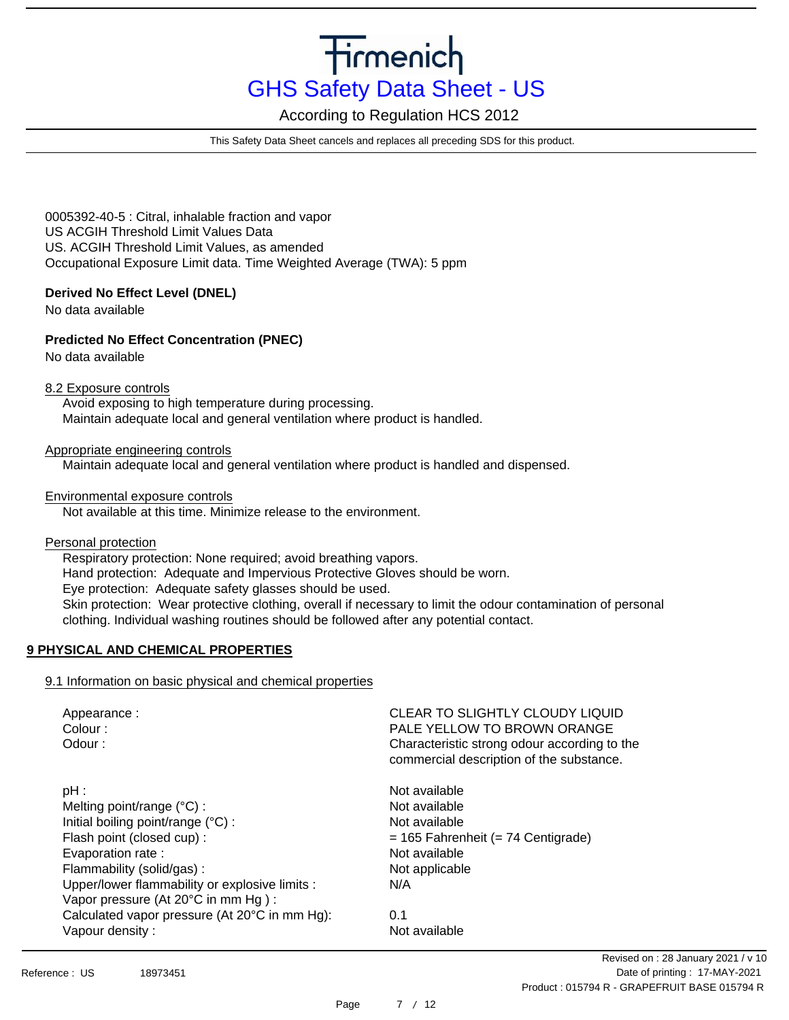According to Regulation HCS 2012

This Safety Data Sheet cancels and replaces all preceding SDS for this product.

0005392-40-5 : Citral, inhalable fraction and vapor US ACGIH Threshold Limit Values Data US. ACGIH Threshold Limit Values, as amended Occupational Exposure Limit data. Time Weighted Average (TWA): 5 ppm

### **Derived No Effect Level (DNEL)**

No data available

# **Predicted No Effect Concentration (PNEC)**

No data available

### 8.2 Exposure controls

Avoid exposing to high temperature during processing. Maintain adequate local and general ventilation where product is handled.

### Appropriate engineering controls

Maintain adequate local and general ventilation where product is handled and dispensed.

### Environmental exposure controls

Not available at this time. Minimize release to the environment.

Personal protection Respiratory protection: None required; avoid breathing vapors. Hand protection: Adequate and Impervious Protective Gloves should be worn. Eye protection: Adequate safety glasses should be used. Skin protection: Wear protective clothing, overall if necessary to limit the odour contamination of personal clothing. Individual washing routines should be followed after any potential contact.

# **9 PHYSICAL AND CHEMICAL PROPERTIES**

# 9.1 Information on basic physical and chemical properties

| Appearance:<br>Colour:<br>Odour:               | CLEAR TO SLIGHTLY CLOUDY LIQUID<br>PALE YELLOW TO BROWN ORANGE<br>Characteristic strong odour according to the<br>commercial description of the substance. |
|------------------------------------------------|------------------------------------------------------------------------------------------------------------------------------------------------------------|
| $pH$ :                                         | Not available                                                                                                                                              |
| Melting point/range $(^{\circ}C)$ :            | Not available                                                                                                                                              |
| Initial boiling point/range (°C) :             | Not available                                                                                                                                              |
| Flash point (closed cup):                      | $= 165$ Fahrenheit ( $= 74$ Centigrade)                                                                                                                    |
| Evaporation rate:                              | Not available                                                                                                                                              |
| Flammability (solid/gas):                      | Not applicable                                                                                                                                             |
| Upper/lower flammability or explosive limits : | N/A                                                                                                                                                        |
| Vapor pressure (At 20°C in mm Hg):             |                                                                                                                                                            |
| Calculated vapor pressure (At 20°C in mm Hg):  | 0.1                                                                                                                                                        |
| Vapour density:                                | Not available                                                                                                                                              |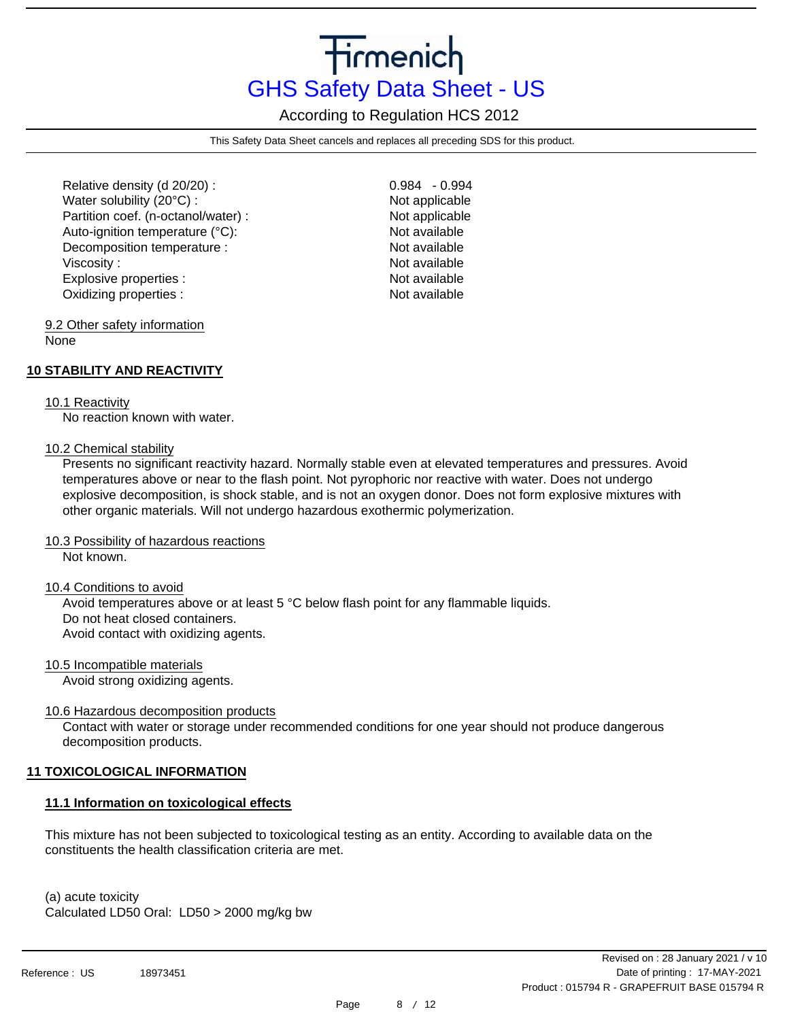According to Regulation HCS 2012

This Safety Data Sheet cancels and replaces all preceding SDS for this product.

Relative density (d 20/20) : Water solubility (20°C) : Partition coef. (n-octanol/water) : Auto-ignition temperature (°C): Decomposition temperature : Viscosity : Explosive properties : Oxidizing properties :

0.984 - 0.994 Not applicable Not applicable Not available Not available Not available Not available Not available

#### 9.2 Other safety information None

# **10 STABILITY AND REACTIVITY**

#### 10.1 Reactivity

No reaction known with water.

### 10.2 Chemical stability

Presents no significant reactivity hazard. Normally stable even at elevated temperatures and pressures. Avoid temperatures above or near to the flash point. Not pyrophoric nor reactive with water. Does not undergo explosive decomposition, is shock stable, and is not an oxygen donor. Does not form explosive mixtures with other organic materials. Will not undergo hazardous exothermic polymerization.

### 10.3 Possibility of hazardous reactions

Not known.

10.4 Conditions to avoid

Avoid temperatures above or at least 5 °C below flash point for any flammable liquids. Do not heat closed containers. Avoid contact with oxidizing agents.

10.5 Incompatible materials

Avoid strong oxidizing agents.

10.6 Hazardous decomposition products

Contact with water or storage under recommended conditions for one year should not produce dangerous decomposition products.

# **11 TOXICOLOGICAL INFORMATION**

### **11.1 Information on toxicological effects**

This mixture has not been subjected to toxicological testing as an entity. According to available data on the constituents the health classification criteria are met.

(a) acute toxicity Calculated LD50 Oral: LD50 > 2000 mg/kg bw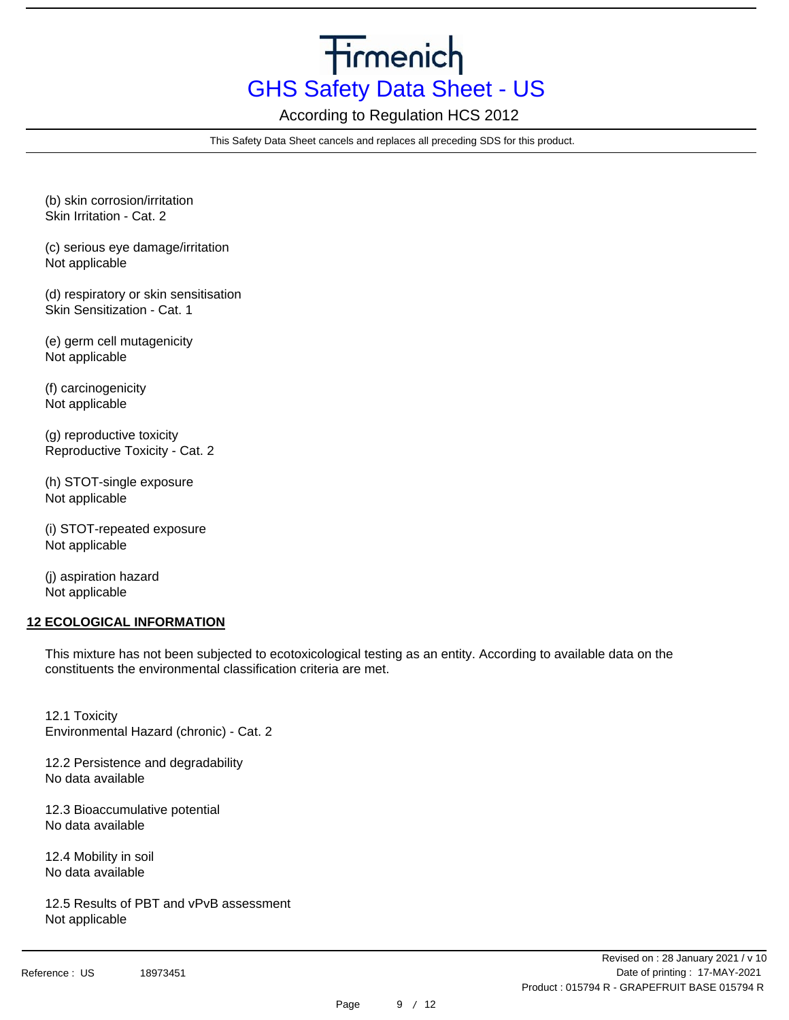According to Regulation HCS 2012

This Safety Data Sheet cancels and replaces all preceding SDS for this product.

(b) skin corrosion/irritation Skin Irritation - Cat. 2

(c) serious eye damage/irritation Not applicable

(d) respiratory or skin sensitisation Skin Sensitization - Cat. 1

(e) germ cell mutagenicity Not applicable

(f) carcinogenicity Not applicable

(g) reproductive toxicity Reproductive Toxicity - Cat. 2

(h) STOT-single exposure Not applicable

(i) STOT-repeated exposure Not applicable

(j) aspiration hazard Not applicable

# **12 ECOLOGICAL INFORMATION**

This mixture has not been subjected to ecotoxicological testing as an entity. According to available data on the constituents the environmental classification criteria are met.

12.1 Toxicity Environmental Hazard (chronic) - Cat. 2

12.2 Persistence and degradability No data available

12.3 Bioaccumulative potential No data available

12.4 Mobility in soil No data available

12.5 Results of PBT and vPvB assessment Not applicable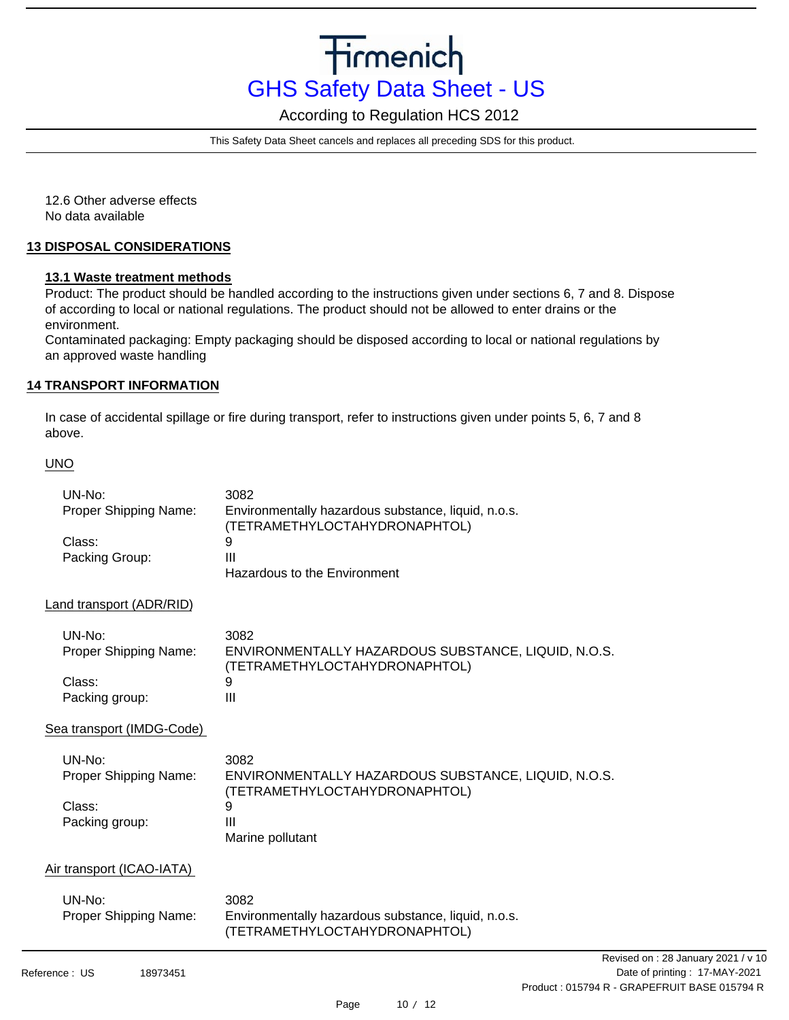According to Regulation HCS 2012

This Safety Data Sheet cancels and replaces all preceding SDS for this product.

12.6 Other adverse effects No data available

### **13 DISPOSAL CONSIDERATIONS**

### **13.1 Waste treatment methods**

Product: The product should be handled according to the instructions given under sections 6, 7 and 8. Dispose of according to local or national regulations. The product should not be allowed to enter drains or the environment.

Contaminated packaging: Empty packaging should be disposed according to local or national regulations by an approved waste handling

### **14 TRANSPORT INFORMATION**

In case of accidental spillage or fire during transport, refer to instructions given under points 5, 6, 7 and 8 above.

### UNO

| UN-No:<br>Proper Shipping Name: | 3082<br>Environmentally hazardous substance, liquid, n.o.s.<br>(TETRAMETHYLOCTAHYDRONAPHTOL) |
|---------------------------------|----------------------------------------------------------------------------------------------|
| Class:                          | 9                                                                                            |
| Packing Group:                  | Ш                                                                                            |
|                                 | Hazardous to the Environment                                                                 |
| Land transport (ADR/RID)        |                                                                                              |
| UN-No:                          | 3082                                                                                         |
| Proper Shipping Name:           | ENVIRONMENTALLY HAZARDOUS SUBSTANCE, LIQUID, N.O.S.<br>(TETRAMETHYLOCTAHYDRONAPHTOL)         |
| Class:                          | 9                                                                                            |
| Packing group:                  | Ш                                                                                            |
| Sea transport (IMDG-Code)       |                                                                                              |

| UN-No:                | 3082                                                |
|-----------------------|-----------------------------------------------------|
| Proper Shipping Name: | ENVIRONMENTALLY HAZARDOUS SUBSTANCE, LIQUID, N.O.S. |
|                       | (TETRAMETHYLOCTAHYDRONAPHTOL)                       |
| Class:                | 9                                                   |
| Packing group:        | Ш                                                   |
|                       | Marine pollutant                                    |

### Air transport (ICAO-IATA)

| UN-No:                | 3082                                                |
|-----------------------|-----------------------------------------------------|
| Proper Shipping Name: | Environmentally hazardous substance, liquid, n.o.s. |
|                       | (TETRAMETHYLOCTAHYDRONAPHTOL)                       |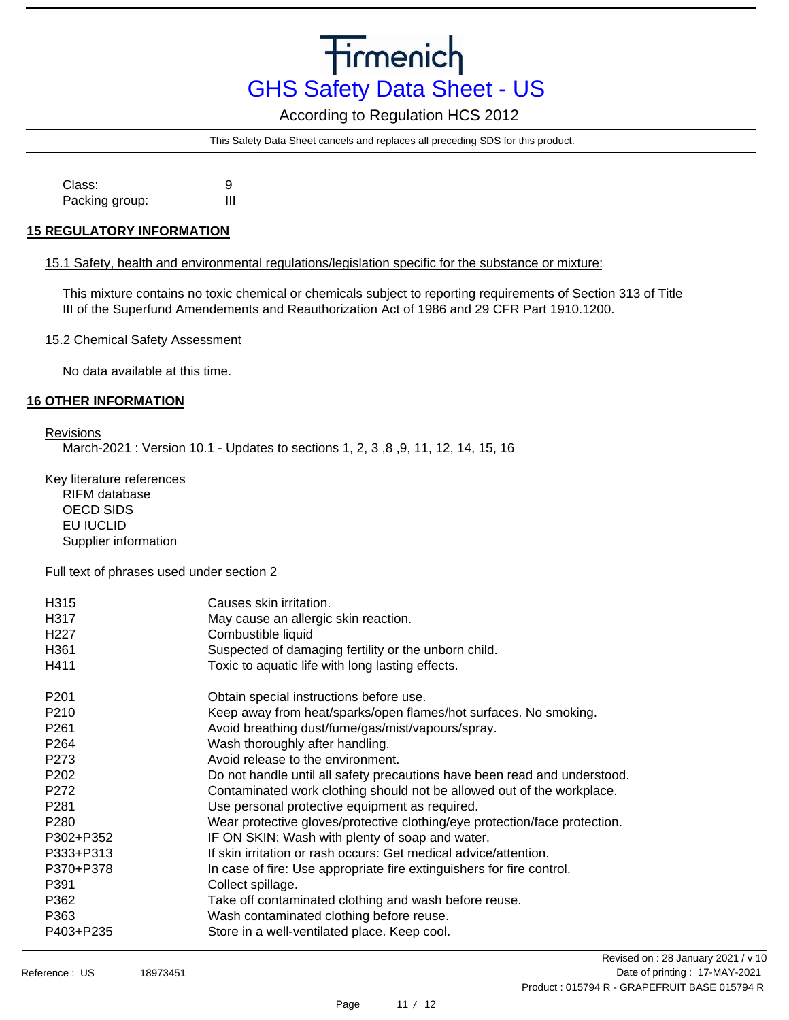According to Regulation HCS 2012

This Safety Data Sheet cancels and replaces all preceding SDS for this product.

9 III Class: Packing group:

### **15 REGULATORY INFORMATION**

### 15.1 Safety, health and environmental regulations/legislation specific for the substance or mixture:

This mixture contains no toxic chemical or chemicals subject to reporting requirements of Section 313 of Title III of the Superfund Amendements and Reauthorization Act of 1986 and 29 CFR Part 1910.1200.

15.2 Chemical Safety Assessment

No data available at this time.

# **16 OTHER INFORMATION**

### Revisions

March-2021 : Version 10.1 - Updates to sections 1, 2, 3 ,8 ,9, 11, 12, 14, 15, 16

Key literature references RIFM database

OECD SIDS EU IUCLID Supplier information

### Full text of phrases used under section 2

| H315<br>H317<br>H <sub>22</sub> 7<br>H <sub>361</sub><br>H411 | Causes skin irritation.<br>May cause an allergic skin reaction.<br>Combustible liquid<br>Suspected of damaging fertility or the unborn child.<br>Toxic to aquatic life with long lasting effects. |
|---------------------------------------------------------------|---------------------------------------------------------------------------------------------------------------------------------------------------------------------------------------------------|
| P <sub>201</sub>                                              | Obtain special instructions before use.                                                                                                                                                           |
| P <sub>210</sub>                                              | Keep away from heat/sparks/open flames/hot surfaces. No smoking.                                                                                                                                  |
| P <sub>261</sub>                                              | Avoid breathing dust/fume/gas/mist/vapours/spray.                                                                                                                                                 |
| P <sub>264</sub>                                              | Wash thoroughly after handling.                                                                                                                                                                   |
| P <sub>273</sub>                                              | Avoid release to the environment.                                                                                                                                                                 |
| P <sub>202</sub>                                              | Do not handle until all safety precautions have been read and understood.                                                                                                                         |
| P <sub>272</sub>                                              | Contaminated work clothing should not be allowed out of the workplace.                                                                                                                            |
| P <sub>281</sub>                                              | Use personal protective equipment as required.                                                                                                                                                    |
| P <sub>280</sub>                                              | Wear protective gloves/protective clothing/eye protection/face protection.                                                                                                                        |
| P302+P352                                                     | IF ON SKIN: Wash with plenty of soap and water.                                                                                                                                                   |
| P333+P313                                                     | If skin irritation or rash occurs: Get medical advice/attention.                                                                                                                                  |
| P370+P378                                                     | In case of fire: Use appropriate fire extinguishers for fire control.                                                                                                                             |
| P391                                                          | Collect spillage.                                                                                                                                                                                 |
| P362                                                          | Take off contaminated clothing and wash before reuse.                                                                                                                                             |
| P363                                                          | Wash contaminated clothing before reuse.                                                                                                                                                          |
| P403+P235                                                     | Store in a well-ventilated place. Keep cool.                                                                                                                                                      |